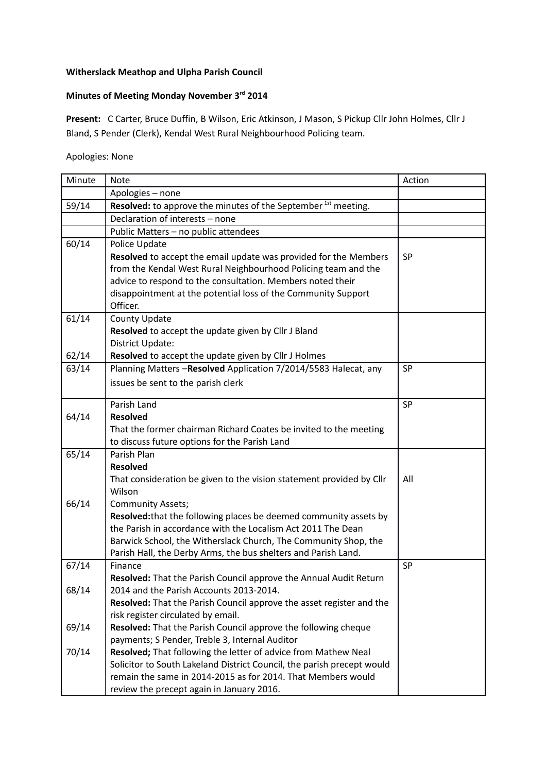## **Witherslack Meathop and Ulpha Parish Council**

## **Minutes of Meeting Monday November 3rd 2014**

**Present:** C Carter, Bruce Duffin, B Wilson, Eric Atkinson, J Mason, S Pickup Cllr John Holmes, Cllr J Bland, S Pender (Clerk), Kendal West Rural Neighbourhood Policing team.

Apologies: None

| Minute | <b>Note</b>                                                               | Action    |
|--------|---------------------------------------------------------------------------|-----------|
|        | Apologies - none                                                          |           |
| 59/14  | Resolved: to approve the minutes of the September <sup>1st</sup> meeting. |           |
|        | Declaration of interests - none                                           |           |
|        | Public Matters - no public attendees                                      |           |
| 60/14  | Police Update                                                             |           |
|        | Resolved to accept the email update was provided for the Members          | <b>SP</b> |
|        | from the Kendal West Rural Neighbourhood Policing team and the            |           |
|        | advice to respond to the consultation. Members noted their                |           |
|        | disappointment at the potential loss of the Community Support             |           |
|        | Officer.                                                                  |           |
| 61/14  | <b>County Update</b>                                                      |           |
|        | Resolved to accept the update given by Cllr J Bland                       |           |
|        | District Update:                                                          |           |
| 62/14  | Resolved to accept the update given by Cllr J Holmes                      |           |
| 63/14  | Planning Matters -Resolved Application 7/2014/5583 Halecat, any           | SP        |
|        | issues be sent to the parish clerk                                        |           |
|        |                                                                           |           |
|        | Parish Land<br><b>Resolved</b>                                            | SP        |
| 64/14  |                                                                           |           |
|        | That the former chairman Richard Coates be invited to the meeting         |           |
| 65/14  | to discuss future options for the Parish Land<br>Parish Plan              |           |
|        | <b>Resolved</b>                                                           |           |
|        | That consideration be given to the vision statement provided by Cllr      | All       |
|        | Wilson                                                                    |           |
| 66/14  | <b>Community Assets;</b>                                                  |           |
|        | Resolved: that the following places be deemed community assets by         |           |
|        | the Parish in accordance with the Localism Act 2011 The Dean              |           |
|        | Barwick School, the Witherslack Church, The Community Shop, the           |           |
|        | Parish Hall, the Derby Arms, the bus shelters and Parish Land.            |           |
| 67/14  | Finance                                                                   | SP        |
|        | Resolved: That the Parish Council approve the Annual Audit Return         |           |
| 68/14  | 2014 and the Parish Accounts 2013-2014.                                   |           |
|        | Resolved: That the Parish Council approve the asset register and the      |           |
|        | risk register circulated by email.                                        |           |
| 69/14  | Resolved: That the Parish Council approve the following cheque            |           |
|        | payments; S Pender, Treble 3, Internal Auditor                            |           |
| 70/14  | Resolved; That following the letter of advice from Mathew Neal            |           |
|        | Solicitor to South Lakeland District Council, the parish precept would    |           |
|        | remain the same in 2014-2015 as for 2014. That Members would              |           |
|        | review the precept again in January 2016.                                 |           |